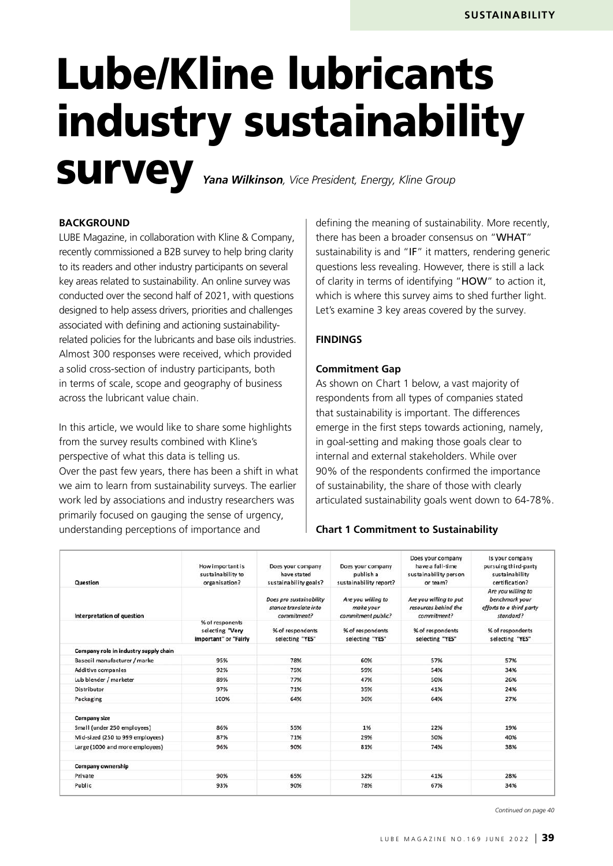# Lube/Kline lubricants industry sustainability **SUIVEY** *Yana Wilkinson, Vice President, Energy, Kline Group*

#### **BACKGROUND**

LUBE Magazine, in collaboration with Kline & Company, recently commissioned a B2B survey to help bring clarity to its readers and other industry participants on several key areas related to sustainability. An online survey was conducted over the second half of 2021, with questions designed to help assess drivers, priorities and challenges associated with defining and actioning sustainabilityrelated policies for the lubricants and base oils industries. Almost 300 responses were received, which provided a solid cross-section of industry participants, both in terms of scale, scope and geography of business across the lubricant value chain.

In this article, we would like to share some highlights from the survey results combined with Kline's perspective of what this data is telling us. Over the past few years, there has been a shift in what we aim to learn from sustainability surveys. The earlier work led by associations and industry researchers was primarily focused on gauging the sense of urgency, understanding perceptions of importance and

defining the meaning of sustainability. More recently, there has been a broader consensus on "WHAT" sustainability is and "IF" it matters, rendering generic questions less revealing. However, there is still a lack of clarity in terms of identifying "HOW" to action it, which is where this survey aims to shed further light. Let's examine 3 key areas covered by the survey.

#### **FINDINGS**

#### **Commitment Gap**

As shown on Chart 1 below, a vast majority of respondents from all types of companies stated that sustainability is important. The differences emerge in the first steps towards actioning, namely, in goal-setting and making those goals clear to internal and external stakeholders. While over 90% of the respondents confirmed the importance of sustainability, the share of those with clearly articulated sustainability goals went down to 64-78%.

#### **Chart 1 Commitment to Sustainability**

| Question                              | How important is<br>sustainability to<br>organisation?      | Does your company<br>have stated<br>sustainability goals?       | Does your company<br>publish a<br>sustainability report? | Does your company<br>have a full-time<br>sustainability person<br>or team? | Is your company<br>pursuing third-party<br>sustainability<br>certification?<br>Are you willing to<br>benchmark your<br>efforts to a third party<br>standard? |  |
|---------------------------------------|-------------------------------------------------------------|-----------------------------------------------------------------|----------------------------------------------------------|----------------------------------------------------------------------------|--------------------------------------------------------------------------------------------------------------------------------------------------------------|--|
| Interpretation of question            |                                                             | Does pro sustainability<br>stance translate into<br>commitment? | Are you willing to<br>make your<br>commitment public?    | Are you willing to put<br>resources behind the<br>commitment?              |                                                                                                                                                              |  |
|                                       | % of responents<br>selecting "Very<br>important" or "Fairly | % of respondents<br>selecting "YES"                             | % of respondents<br>selecting "YES"                      | % of respondents<br>selecting "YES"                                        | % of respondents<br>selecting "YES"                                                                                                                          |  |
| Company role in industry supply chain |                                                             |                                                                 |                                                          |                                                                            |                                                                                                                                                              |  |
| Baseoil manufacturer / marke          | 95%                                                         | 78%                                                             | 60%                                                      | 57%                                                                        | 57%                                                                                                                                                          |  |
| Additive companies                    | 92%                                                         | 75%                                                             | 59%                                                      | 54%                                                                        | 34%                                                                                                                                                          |  |
| Lub blender / marketer                | 89%                                                         | 77%                                                             | 47%                                                      | 50%                                                                        | 26%                                                                                                                                                          |  |
| Distributor                           | 97%                                                         | 71%                                                             | 35%                                                      | 41%                                                                        | 24%                                                                                                                                                          |  |
| Packaging                             | 100%                                                        |                                                                 | 36%                                                      | 64%                                                                        | 27%                                                                                                                                                          |  |
| <b>Company size</b>                   |                                                             |                                                                 |                                                          |                                                                            |                                                                                                                                                              |  |
| Small (under 250 employees)           | 86%                                                         | 55%                                                             | 1%                                                       | 22%                                                                        | 19%                                                                                                                                                          |  |
| Mid-sized (250 to 999 employees)      | 87%                                                         | 71%                                                             | 29%                                                      | 50%                                                                        | 40%                                                                                                                                                          |  |
| Large (1000 and more employees)       | 96%                                                         | 90%                                                             | 81%                                                      | 74%                                                                        | 38%                                                                                                                                                          |  |
| <b>Company ownership</b>              |                                                             |                                                                 |                                                          |                                                                            |                                                                                                                                                              |  |
| Private                               | 90%                                                         | 65%                                                             | 32%                                                      | 41%                                                                        | 28%                                                                                                                                                          |  |
| Public                                | 93%                                                         | 90%                                                             | 78%                                                      | 67%                                                                        | 34%                                                                                                                                                          |  |

*Continued on page 40*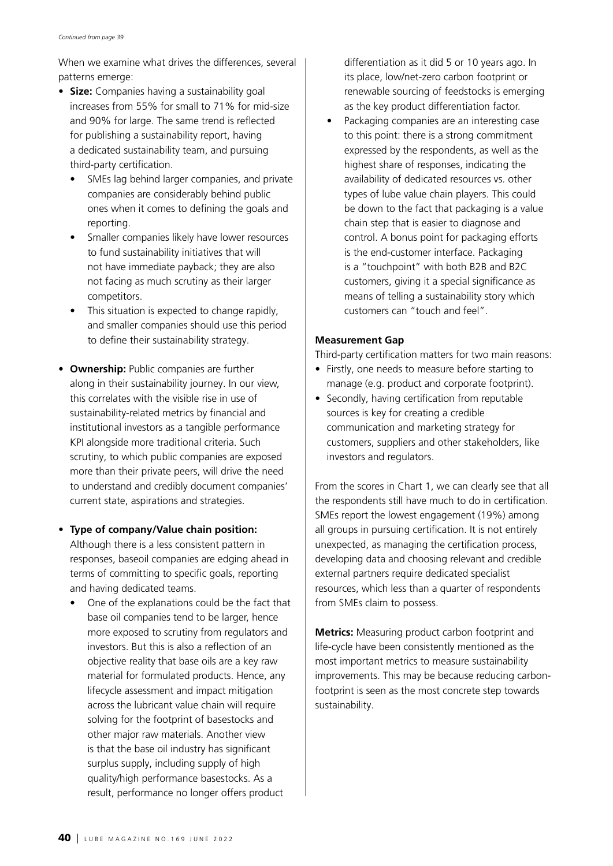When we examine what drives the differences, several patterns emerge:

- **Size:** Companies having a sustainability goal increases from 55% for small to 71% for mid-size and 90% for large. The same trend is reflected for publishing a sustainability report, having a dedicated sustainability team, and pursuing third-party certification.
	- SMEs lag behind larger companies, and private companies are considerably behind public ones when it comes to defining the goals and reporting.
	- Smaller companies likely have lower resources to fund sustainability initiatives that will not have immediate payback; they are also not facing as much scrutiny as their larger competitors.
	- This situation is expected to change rapidly, and smaller companies should use this period to define their sustainability strategy.
- **Ownership:** Public companies are further along in their sustainability journey. In our view, this correlates with the visible rise in use of sustainability-related metrics by financial and institutional investors as a tangible performance KPI alongside more traditional criteria. Such scrutiny, to which public companies are exposed more than their private peers, will drive the need to understand and credibly document companies' current state, aspirations and strategies.
- **Type of company/Value chain position:** Although there is a less consistent pattern in responses, baseoil companies are edging ahead in terms of committing to specific goals, reporting and having dedicated teams.
	- One of the explanations could be the fact that base oil companies tend to be larger, hence more exposed to scrutiny from regulators and investors. But this is also a reflection of an objective reality that base oils are a key raw material for formulated products. Hence, any lifecycle assessment and impact mitigation across the lubricant value chain will require solving for the footprint of basestocks and other major raw materials. Another view is that the base oil industry has significant surplus supply, including supply of high quality/high performance basestocks. As a result, performance no longer offers product

differentiation as it did 5 or 10 years ago. In its place, low/net-zero carbon footprint or renewable sourcing of feedstocks is emerging as the key product differentiation factor.

• Packaging companies are an interesting case to this point: there is a strong commitment expressed by the respondents, as well as the highest share of responses, indicating the availability of dedicated resources vs. other types of lube value chain players. This could be down to the fact that packaging is a value chain step that is easier to diagnose and control. A bonus point for packaging efforts is the end-customer interface. Packaging is a "touchpoint" with both B2B and B2C customers, giving it a special significance as means of telling a sustainability story which customers can "touch and feel".

#### **Measurement Gap**

Third-party certification matters for two main reasons:

- Firstly, one needs to measure before starting to manage (e.g. product and corporate footprint).
- Secondly, having certification from reputable sources is key for creating a credible communication and marketing strategy for customers, suppliers and other stakeholders, like investors and regulators.

From the scores in Chart 1, we can clearly see that all the respondents still have much to do in certification. SMEs report the lowest engagement (19%) among all groups in pursuing certification. It is not entirely unexpected, as managing the certification process, developing data and choosing relevant and credible external partners require dedicated specialist resources, which less than a quarter of respondents from SMEs claim to possess.

**Metrics:** Measuring product carbon footprint and life-cycle have been consistently mentioned as the most important metrics to measure sustainability improvements. This may be because reducing carbonfootprint is seen as the most concrete step towards sustainability.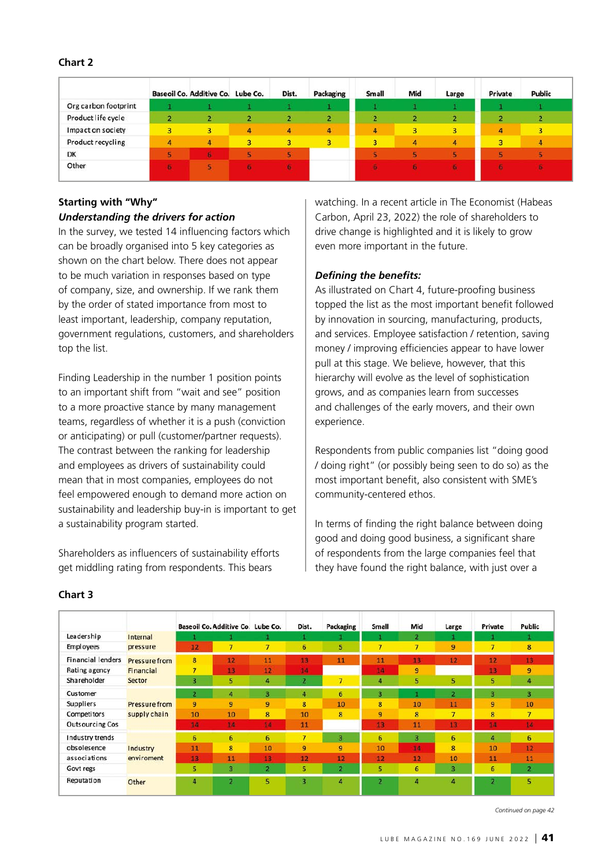*Continued on page 42*

LUBE MAGAZINE NO.169 JUNE 2022  $\vert$  41

#### **Chart 2**

|                      |   | Baseoil Co. Additive Co. Lube Co. |   | Dist. | Packaging      | <b>Small</b> | Mid | Large          | Private | <b>Public</b> |  |
|----------------------|---|-----------------------------------|---|-------|----------------|--------------|-----|----------------|---------|---------------|--|
| Org carbon footprint |   |                                   |   |       |                |              |     |                |         |               |  |
| Product life cycle   |   | 2                                 |   |       | $\overline{2}$ |              |     | 2              |         |               |  |
| Impact on society    | 3 | 3.                                | 4 | 4     | 4              | 4            | 3   | 3              | 4       | 3             |  |
| Product recycling    | 4 | 4                                 | 3 | 3     | 3              | 3            | 4   | $\overline{4}$ | 3       | 4             |  |
| DK                   |   | 6                                 |   |       |                |              |     |                |         |               |  |
| Other<br>152291152   | F |                                   |   |       |                |              |     |                | в       |               |  |

#### **Starting with "Why"** *Understanding the drivers for action*

In the survey, we tested 14 influencing factors which can be broadly organised into 5 key categories as shown on the chart below. There does not appear to be much variation in responses based on type of company, size, and ownership. If we rank them by the order of stated importance from most to least important, leadership, company reputation, government regulations, customers, and shareholders top the list.

Finding Leadership in the number 1 position points to an important shift from "wait and see" position to a more proactive stance by many management teams, regardless of whether it is a push (conviction or anticipating) or pull (customer/partner requests). The contrast between the ranking for leadership and employees as drivers of sustainability could mean that in most companies, employees do not feel empowered enough to demand more action on sustainability and leadership buy-in is important to get a sustainability program started.

Shareholders as influencers of sustainability efforts get middling rating from respondents. This bears

watching. In a recent article in The Economist (Habeas Carbon, April 23, 2022) the role of shareholders to drive change is highlighted and it is likely to grow even more important in the future.

### *Defining the benefits:*

As illustrated on Chart 4, future-proofing business topped the list as the most important benefit followed by innovation in sourcing, manufacturing, products, and services. Employee satisfaction / retention, saving money / improving efficiencies appear to have lower pull at this stage. We believe, however, that this hierarchy will evolve as the level of sophistication grows, and as companies learn from successes and challenges of the early movers, and their own experience.

Respondents from public companies list "doing good / doing right" (or possibly being seen to do so) as the most important benefit, also consistent with SME's community-centered ethos.

In terms of finding the right balance between doing good and doing good business, a significant share of respondents from the large companies feel that they have found the right balance, with just over a

|                          |                      |                         | Baseoil Co. Additive Co. Lube Co. |                | Dist.          | Packaging       | Small          | Mid            | Large          | Private        | Public         |
|--------------------------|----------------------|-------------------------|-----------------------------------|----------------|----------------|-----------------|----------------|----------------|----------------|----------------|----------------|
| Leadership               | Internal             |                         |                                   |                |                |                 |                | 2              |                |                |                |
| <b>Employees</b>         | pressure             | 12                      | $\overline{7}$                    | $\overline{7}$ | 6              | 5               | 7              | $\overline{7}$ | 9              | 7              | 8              |
| <b>Financial lenders</b> | <b>Pressure from</b> | $\overline{\mathbf{8}}$ | 12                                | 11             | 13             | 11              | 11             | 13             | 12             | 12             | 13             |
| Rating agency            | Financial            | $\overline{7}$          | 13                                | 12             | 14             |                 | 14             | 9              |                | 13             | 9              |
| Shareholder              | Sector               | $\overline{\mathbf{3}}$ | 5.                                | 4              | $\overline{2}$ | 7               | 4              | 5              | 5              | 5              | 4              |
| Customer                 |                      | $\overline{\mathbf{2}}$ | 4                                 | 3              | 4              | $6\overline{6}$ | 3              |                | $\overline{2}$ | з              | 3              |
| Suppliers                | Pressure from        | 9                       | 9                                 | 9              | 8              | 10              | 8              | 10             | 11             | 9              | 10             |
| <b>Competitors</b>       | supply chain         | 10                      | 10                                | 8              | 10             | 8               | 9              | 8              | $\overline{7}$ | 8              | $\overline{7}$ |
| <b>Outsourcing Cos</b>   |                      | 14                      | 14                                | 14             | 11             |                 | 13             | 11             | 13             | 14             | 14             |
| Industry trends          |                      | 6                       | 6                                 | 6              | $\overline{7}$ | 3               | 6              | з.             | 6              | 4              | 6              |
| obsolesence              | Industry             | 11                      | 8                                 | 10             | 9              | 9               | 10             | 14             | 8              | 10             | 12             |
| associations             | enviroment           | 13                      | 11                                | 13             | 12             | 12              | 12             | 12             | 10             | 11             | 11             |
| Govt regs                |                      | 5                       | 3                                 | 2              | 5              | $\mathbf{z}$    | 5              | 6              | 3              | 6              | $\overline{2}$ |
| Reputation               | Other                | 4                       | $\overline{\mathbf{z}}$           | 5 <sup>1</sup> | 3              | 4               | $\overline{a}$ | 4              | 4              | $\overline{z}$ | 5              |

### **Chart 3**